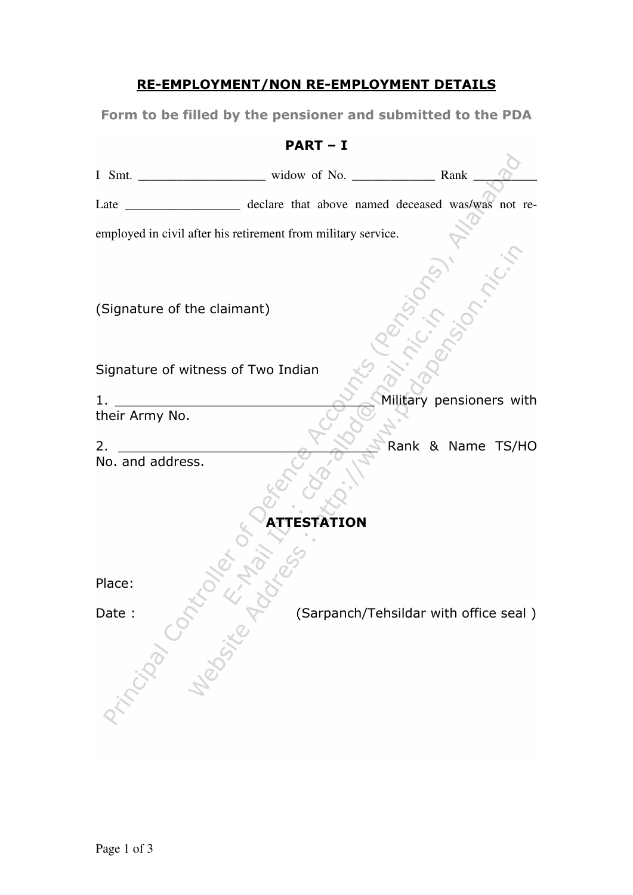## RE-EMPLOYMENT/NON RE-EMPLOYMENT DETAILS

Form to be filled by the pensioner and submitted to the PDA

## PART – I

| declare that above named deceased was/was not re-<br>Late     |  |          |  |                                       |  |
|---------------------------------------------------------------|--|----------|--|---------------------------------------|--|
| employed in civil after his retirement from military service. |  |          |  |                                       |  |
|                                                               |  |          |  |                                       |  |
|                                                               |  |          |  |                                       |  |
| (Signature of the claimant)                                   |  |          |  |                                       |  |
|                                                               |  |          |  |                                       |  |
| Signature of witness of Two Indian                            |  |          |  |                                       |  |
| 1.                                                            |  |          |  | Military pensioners with              |  |
| their Army No.                                                |  |          |  |                                       |  |
| 2.                                                            |  |          |  | Rank & Name TS/HO                     |  |
| No. and address.                                              |  |          |  |                                       |  |
|                                                               |  |          |  |                                       |  |
|                                                               |  | ESTATION |  |                                       |  |
|                                                               |  |          |  |                                       |  |
| Place:                                                        |  |          |  |                                       |  |
|                                                               |  |          |  | (Sarpanch/Tehsildar with office seal) |  |
|                                                               |  |          |  |                                       |  |
|                                                               |  |          |  |                                       |  |
| Principle of the Y                                            |  |          |  |                                       |  |
|                                                               |  |          |  |                                       |  |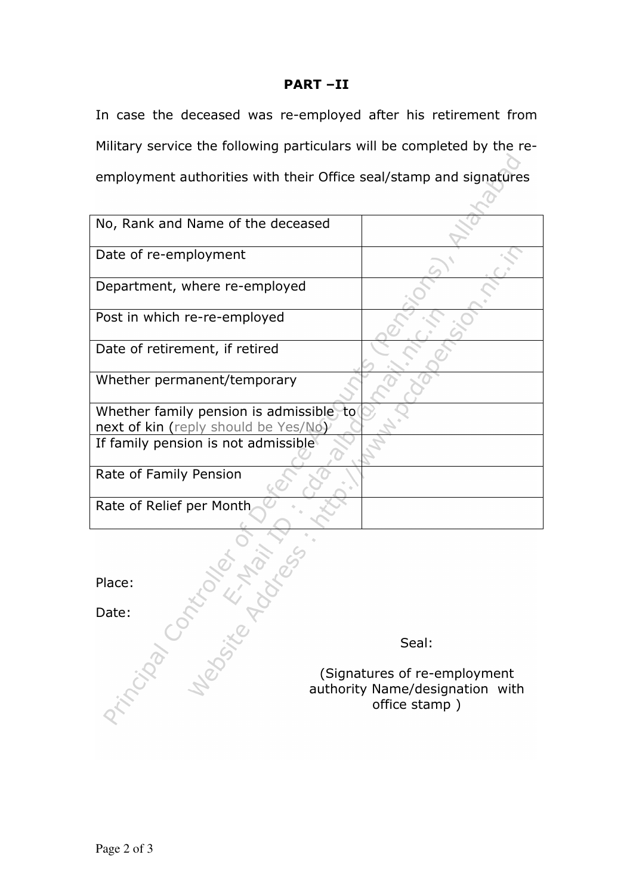## PART –II

In case the deceased was re-employed after his retirement from Military service the following particulars will be completed by the reemployment authorities with their Office seal/stamp and signatures

| No, Rank and Name of the deceased        |  |
|------------------------------------------|--|
| Date of re-employment                    |  |
| Department, where re-employed            |  |
| Post in which re-re-employed             |  |
| Date of retirement, if retired           |  |
| Whether permanent/temporary              |  |
| Whether family pension is admissible, to |  |
| next of kin (reply should be Yes/No)     |  |
| If family pension is not admissible      |  |
| Rate of Family Pension                   |  |
| Rate of Relief per Month                 |  |

Seal:

 $\overline{O}$ 

Place: Date: (Signatures of re-employment authority Name/designation with office stamp )